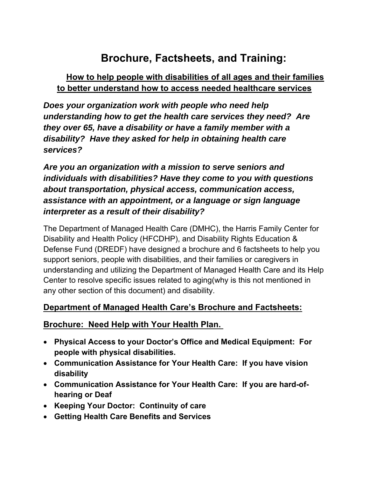## **Brochure, Factsheets, and Training:**

## **How to help people with disabilities of all ages and their families to better understand how to access needed healthcare services**

*Does your organization work with people who need help understanding how to get the health care services they need? Are they over 65, have a disability or have a family member with a disability? Have they asked for help in obtaining health care services?* 

*Are you an organization with a mission to serve seniors and individuals with disabilities? Have they come to you with questions about transportation, physical access, communication access, assistance with an appointment, or a language or sign language interpreter as a result of their disability?*

The Department of Managed Health Care (DMHC), the Harris Family Center for Disability and Health Policy (HFCDHP), and Disability Rights Education & Defense Fund (DREDF) have designed a brochure and 6 factsheets to help you support seniors, people with disabilities, and their families or caregivers in understanding and utilizing the Department of Managed Health Care and its Help Center to resolve specific issues related to aging(why is this not mentioned in any other section of this document) and disability.

## **Department of Managed Health Care's Brochure and Factsheets:**

## **Brochure: Need Help with Your Health Plan.**

- **Physical Access to your Doctor's Office and Medical Equipment: For people with physical disabilities.**
- **Communication Assistance for Your Health Care: If you have vision disability**
- **Communication Assistance for Your Health Care: If you are hard-ofhearing or Deaf**
- **Keeping Your Doctor: Continuity of care**
- **Getting Health Care Benefits and Services**